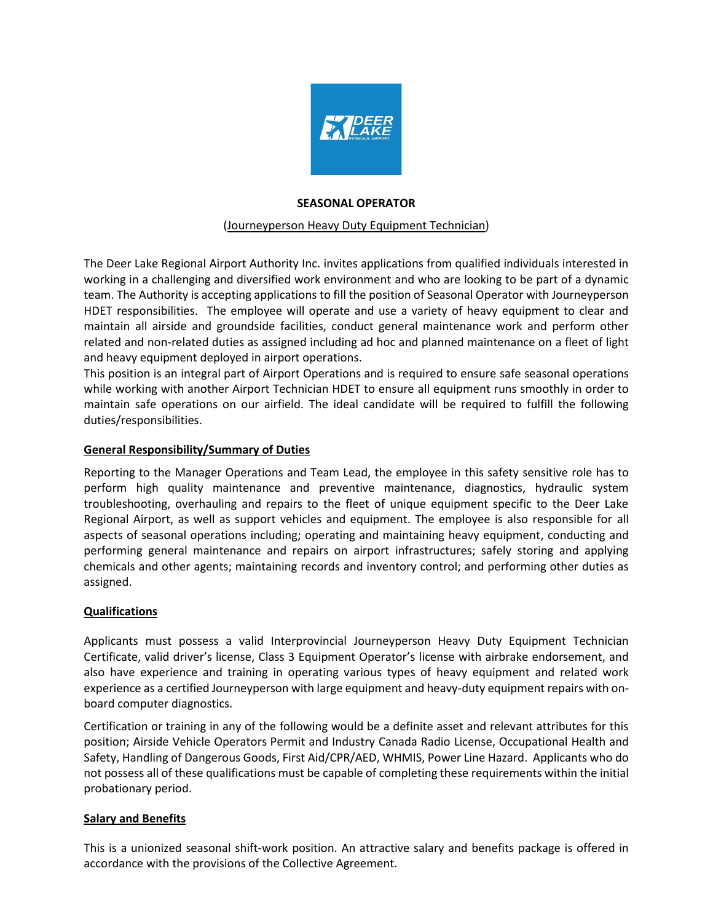

# **SEASONAL OPERATOR**

### (Journeyperson Heavy Duty Equipment Technician)

The Deer Lake Regional Airport Authority Inc. invites applications from qualified individuals interested in working in a challenging and diversified work environment and who are looking to be part of a dynamic team. The Authority is accepting applications to fill the position of Seasonal Operator with Journeyperson HDET responsibilities. The employee will operate and use a variety of heavy equipment to clear and maintain all airside and groundside facilities, conduct general maintenance work and perform other related and non-related duties as assigned including ad hoc and planned maintenance on a fleet of light and heavy equipment deployed in airport operations.

This position is an integral part of Airport Operations and is required to ensure safe seasonal operations while working with another Airport Technician HDET to ensure all equipment runs smoothly in order to maintain safe operations on our airfield. The ideal candidate will be required to fulfill the following duties/responsibilities.

# **General Responsibility/Summary of Duties**

Reporting to the Manager Operations and Team Lead, the employee in this safety sensitive role has to perform high quality maintenance and preventive maintenance, diagnostics, hydraulic system troubleshooting, overhauling and repairs to the fleet of unique equipment specific to the Deer Lake Regional Airport, as well as support vehicles and equipment. The employee is also responsible for all aspects of seasonal operations including; operating and maintaining heavy equipment, conducting and performing general maintenance and repairs on airport infrastructures; safely storing and applying chemicals and other agents; maintaining records and inventory control; and performing other duties as assigned.

# **Qualifications**

Applicants must possess a valid Interprovincial Journeyperson Heavy Duty Equipment Technician Certificate, valid driver's license, Class 3 Equipment Operator's license with airbrake endorsement, and also have experience and training in operating various types of heavy equipment and related work experience as a certified Journeyperson with large equipment and heavy-duty equipment repairs with onboard computer diagnostics.

Certification or training in any of the following would be a definite asset and relevant attributes for this position; Airside Vehicle Operators Permit and Industry Canada Radio License, Occupational Health and Safety, Handling of Dangerous Goods, First Aid/CPR/AED, WHMIS, Power Line Hazard. Applicants who do not possess all of these qualifications must be capable of completing these requirements within the initial probationary period.

# **Salary and Benefits**

This is a unionized seasonal shift-work position. An attractive salary and benefits package is offered in accordance with the provisions of the Collective Agreement.